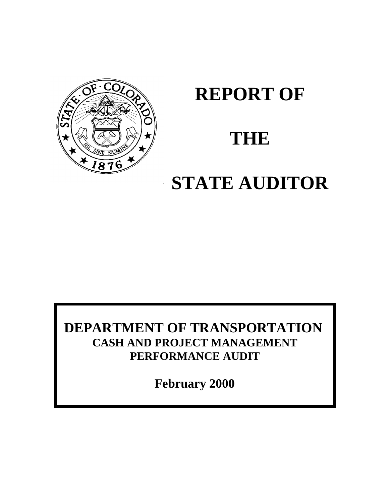

# **REPORT OF**

# **THE**

# **STATE AUDITOR**

# **DEPARTMENT OF TRANSPORTATION CASH AND PROJECT MANAGEMENT PERFORMANCE AUDIT**

**February 2000**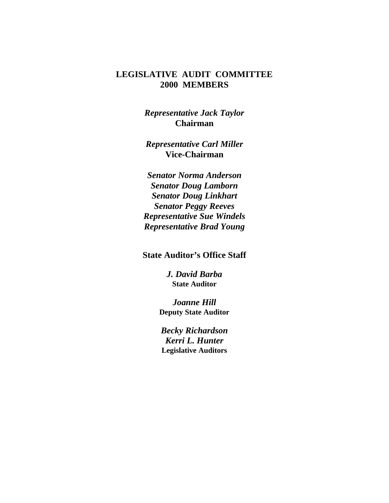#### **LEGISLATIVE AUDIT COMMITTEE 2000 MEMBERS**

*Representative Jack Taylor* **Chairman**

*Representative Carl Miller* **Vice-Chairman**

*Senator Norma Anderson Senator Doug Lamborn Senator Doug Linkhart Senator Peggy Reeves Representative Sue Windels Representative Brad Young*

**State Auditor's Office Staff**

*J. David Barba* **State Auditor**

*Joanne Hill* **Deputy State Auditor**

*Becky Richardson Kerri L. Hunter* **Legislative Auditors**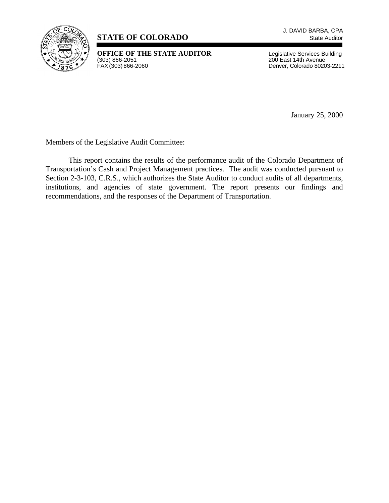

#### **STATE OF COLORADO** State Auditor

**OFFICE OF THE STATE AUDITOR** Legislative Services Building<br>
(303) 866-2051 200 East 14th Avenue<br>
FAX (303) 866-2060 **Denver, Colorado 80203-2211** 

200 East 14th Avenue Denver, Colorado 80203-2211

January 25, 2000

Members of the Legislative Audit Committee:

This report contains the results of the performance audit of the Colorado Department of Transportation's Cash and Project Management practices. The audit was conducted pursuant to Section 2-3-103, C.R.S., which authorizes the State Auditor to conduct audits of all departments, institutions, and agencies of state government. The report presents our findings and recommendations, and the responses of the Department of Transportation.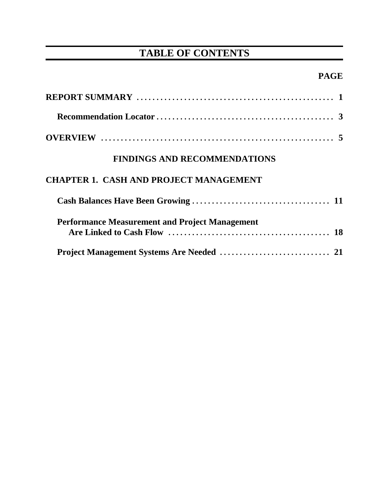# **TABLE OF CONTENTS**

## **PAGE**

| <b>FINDINGS AND RECOMMENDATIONS</b>                   |  |
|-------------------------------------------------------|--|
| <b>CHAPTER 1. CASH AND PROJECT MANAGEMENT</b>         |  |
|                                                       |  |
| <b>Performance Measurement and Project Management</b> |  |
|                                                       |  |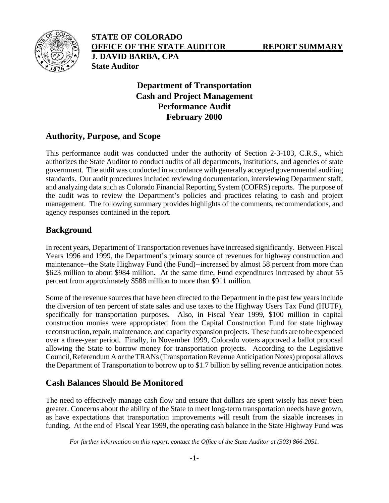

**STATE OF COLORADO OFFICE OF THE STATE AUDITOR REPORT SUMMARY J. DAVID BARBA, CPA State Auditor**

#### **Department of Transportation Cash and Project Management Performance Audit February 2000**

#### **Authority, Purpose, and Scope**

This performance audit was conducted under the authority of Section 2-3-103, C.R.S., which authorizes the State Auditor to conduct audits of all departments, institutions, and agencies of state government. The audit was conducted in accordance with generally accepted governmental auditing standards. Our audit procedures included reviewing documentation, interviewing Department staff, and analyzing data such as Colorado Financial Reporting System (COFRS) reports. The purpose of the audit was to review the Department's policies and practices relating to cash and project management. The following summary provides highlights of the comments, recommendations, and agency responses contained in the report.

#### **Background**

In recent years, Department of Transportation revenues have increased significantly. Between Fiscal Years 1996 and 1999, the Department's primary source of revenues for highway construction and maintenance--the State Highway Fund (the Fund)--increased by almost 58 percent from more than \$623 million to about \$984 million. At the same time, Fund expenditures increased by about 55 percent from approximately \$588 million to more than \$911 million.

Some of the revenue sources that have been directed to the Department in the past few years include the diversion of ten percent of state sales and use taxes to the Highway Users Tax Fund (HUTF), specifically for transportation purposes. Also, in Fiscal Year 1999, \$100 million in capital construction monies were appropriated from the Capital Construction Fund for state highway reconstruction, repair, maintenance, and capacity expansion projects. These funds are to be expended over a three-year period. Finally, in November 1999, Colorado voters approved a ballot proposal allowing the State to borrow money for transportation projects. According to the Legislative Council, Referendum A or the TRANs (Transportation Revenue Anticipation Notes) proposal allows the Department of Transportation to borrow up to \$1.7 billion by selling revenue anticipation notes.

#### **Cash Balances Should Be Monitored**

The need to effectively manage cash flow and ensure that dollars are spent wisely has never been greater. Concerns about the ability of the State to meet long-term transportation needs have grown, as have expectations that transportation improvements will result from the sizable increases in funding. At the end of Fiscal Year 1999, the operating cash balance in the State Highway Fund was

*For further information on this report, contact the Office of the State Auditor at (303) 866-2051.*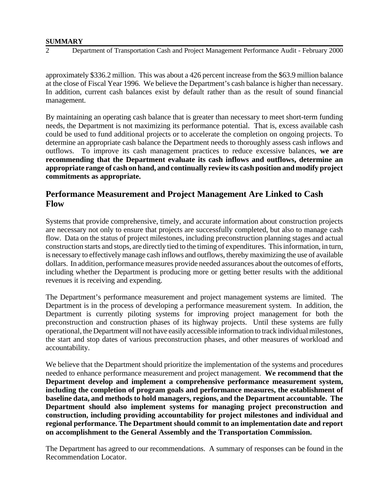#### **SUMMARY**

#### 2 Department of Transportation Cash and Project Management Performance Audit - February 2000

approximately \$336.2 million. This was about a 426 percent increase from the \$63.9 million balance at the close of Fiscal Year 1996. We believe the Department's cash balance is higher than necessary. In addition, current cash balances exist by default rather than as the result of sound financial management.

By maintaining an operating cash balance that is greater than necessary to meet short-term funding needs, the Department is not maximizing its performance potential. That is, excess available cash could be used to fund additional projects or to accelerate the completion on ongoing projects. To determine an appropriate cash balance the Department needs to thoroughly assess cash inflows and outflows. To improve its cash management practices to reduce excessive balances, **we are recommending that the Department evaluate its cash inflows and outflows, determine an appropriate range of cash on hand, and continually review its cash position and modify project commitments as appropriate.**

#### **Performance Measurement and Project Management Are Linked to Cash Flow**

Systems that provide comprehensive, timely, and accurate information about construction projects are necessary not only to ensure that projects are successfully completed, but also to manage cash flow. Data on the status of project milestones, including preconstruction planning stages and actual construction starts and stops, are directly tied to the timing of expenditures. This information, in turn, is necessary to effectively manage cash inflows and outflows, thereby maximizing the use of available dollars. In addition, performance measures provide needed assurances about the outcomes of efforts, including whether the Department is producing more or getting better results with the additional revenues it is receiving and expending.

The Department's performance measurement and project management systems are limited. The Department is in the process of developing a performance measurement system. In addition, the Department is currently piloting systems for improving project management for both the preconstruction and construction phases of its highway projects. Until these systems are fully operational, the Department will not have easily accessible information to track individual milestones, the start and stop dates of various preconstruction phases, and other measures of workload and accountability.

We believe that the Department should prioritize the implementation of the systems and procedures needed to enhance performance measurement and project management. **We recommend that the Department develop and implement a comprehensive performance measurement system, including the completion of program goals and performance measures, the establishment of baseline data, and methods to hold managers, regions, and the Department accountable. The Department should also implement systems for managing project preconstruction and construction, including providing accountability for project milestones and individual and regional performance. The Department should commit to an implementation date and report on accomplishment to the General Assembly and the Transportation Commission.** 

The Department has agreed to our recommendations. A summary of responses can be found in the Recommendation Locator.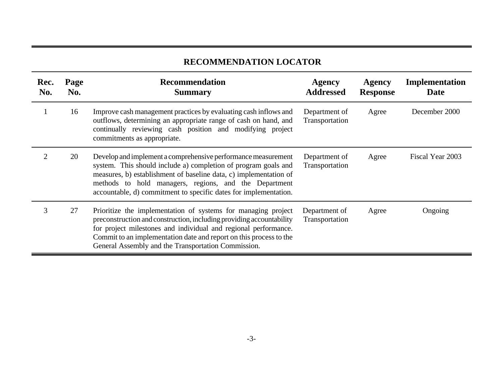## **RECOMMENDATION LOCATOR**

| Rec.<br>No. | Page<br>No. | <b>Recommendation</b><br><b>Summary</b>                                                                                                                                                                                                                                                                                               | <b>Agency</b><br><b>Addressed</b> | <b>Agency</b><br><b>Response</b> | Implementation<br>Date |
|-------------|-------------|---------------------------------------------------------------------------------------------------------------------------------------------------------------------------------------------------------------------------------------------------------------------------------------------------------------------------------------|-----------------------------------|----------------------------------|------------------------|
|             | 16          | Improve cash management practices by evaluating cash inflows and<br>outflows, determining an appropriate range of cash on hand, and<br>continually reviewing cash position and modifying project<br>commitments as appropriate.                                                                                                       | Department of<br>Transportation   | Agree                            | December 2000          |
|             | 20          | Develop and implement a comprehensive performance measurement<br>system. This should include a) completion of program goals and<br>measures, b) establishment of baseline data, c) implementation of<br>methods to hold managers, regions, and the Department<br>accountable, d) commitment to specific dates for implementation.     | Department of<br>Transportation   | Agree                            | Fiscal Year 2003       |
| 3           | 27          | Prioritize the implementation of systems for managing project<br>preconstruction and construction, including providing accountability<br>for project milestones and individual and regional performance.<br>Commit to an implementation date and report on this process to the<br>General Assembly and the Transportation Commission. | Department of<br>Transportation   | Agree                            | Ongoing                |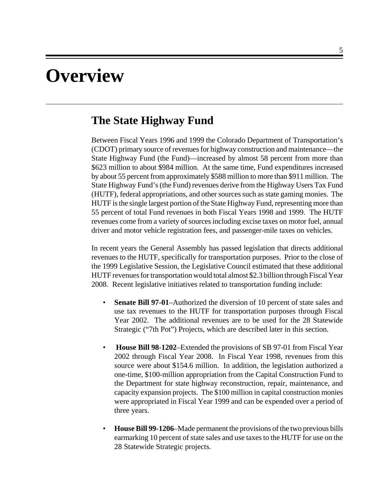# **Overview**

### **The State Highway Fund**

Between Fiscal Years 1996 and 1999 the Colorado Department of Transportation's (CDOT) primary source of revenues for highway construction and maintenance—the State Highway Fund (the Fund)—increased by almost 58 percent from more than \$623 million to about \$984 million. At the same time, Fund expenditures increased by about 55 percent from approximately \$588 million to more than \$911 million. The State Highway Fund's (the Fund) revenues derive from the Highway Users Tax Fund (HUTF), federal appropriations, and other sources such as state gaming monies. The HUTF is the single largest portion of the State Highway Fund, representing more than 55 percent of total Fund revenues in both Fiscal Years 1998 and 1999. The HUTF revenues come from a variety of sources including excise taxes on motor fuel, annual driver and motor vehicle registration fees, and passenger-mile taxes on vehicles.

In recent years the General Assembly has passed legislation that directs additional revenues to the HUTF, specifically for transportation purposes. Prior to the close of the 1999 Legislative Session, the Legislative Council estimated that these additional HUTF revenues for transportation would total almost \$2.3 billion through Fiscal Year 2008. Recent legislative initiatives related to transportation funding include:

- **Senate Bill 97-01–Authorized the diversion of 10 percent of state sales and** use tax revenues to the HUTF for transportation purposes through Fiscal Year 2002. The additional revenues are to be used for the 28 Statewide Strategic ("7th Pot") Projects, which are described later in this section.
- **House Bill 98-1202**–Extended the provisions of SB 97-01 from Fiscal Year 2002 through Fiscal Year 2008. In Fiscal Year 1998, revenues from this source were about \$154.6 million. In addition, the legislation authorized a one-time, \$100-million appropriation from the Capital Construction Fund to the Department for state highway reconstruction, repair, maintenance, and capacity expansion projects. The \$100 million in capital construction monies were appropriated in Fiscal Year 1999 and can be expended over a period of three years.
- **House Bill 99-1206**–Made permanent the provisions of the two previous bills earmarking 10 percent of state sales and use taxes to the HUTF for use on the 28 Statewide Strategic projects.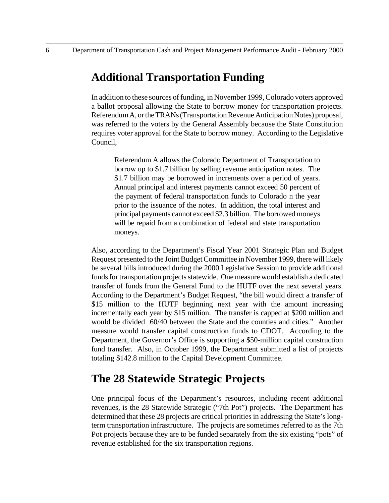## **Additional Transportation Funding**

In addition to these sources of funding, in November 1999, Colorado voters approved a ballot proposal allowing the State to borrow money for transportation projects. Referendum A, or the TRANs (Transportation Revenue Anticipation Notes) proposal, was referred to the voters by the General Assembly because the State Constitution requires voter approval for the State to borrow money. According to the Legislative Council,

Referendum A allows the Colorado Department of Transportation to borrow up to \$1.7 billion by selling revenue anticipation notes. The \$1.7 billion may be borrowed in increments over a period of years. Annual principal and interest payments cannot exceed 50 percent of the payment of federal transportation funds to Colorado n the year prior to the issuance of the notes. In addition, the total interest and principal payments cannot exceed \$2.3 billion. The borrowed moneys will be repaid from a combination of federal and state transportation moneys.

Also, according to the Department's Fiscal Year 2001 Strategic Plan and Budget Request presented to the Joint Budget Committee in November 1999, there will likely be several bills introduced during the 2000 Legislative Session to provide additional funds for transportation projects statewide. One measure would establish a dedicated transfer of funds from the General Fund to the HUTF over the next several years. According to the Department's Budget Request, "the bill would direct a transfer of \$15 million to the HUTF beginning next year with the amount increasing incrementally each year by \$15 million. The transfer is capped at \$200 million and would be divided 60/40 between the State and the counties and cities." Another measure would transfer capital construction funds to CDOT. According to the Department, the Governor's Office is supporting a \$50-million capital construction fund transfer. Also, in October 1999, the Department submitted a list of projects totaling \$142.8 million to the Capital Development Committee.

## **The 28 Statewide Strategic Projects**

One principal focus of the Department's resources, including recent additional revenues, is the 28 Statewide Strategic ("7th Pot") projects. The Department has determined that these 28 projects are critical priorities in addressing the State's longterm transportation infrastructure. The projects are sometimes referred to as the 7th Pot projects because they are to be funded separately from the six existing "pots" of revenue established for the six transportation regions.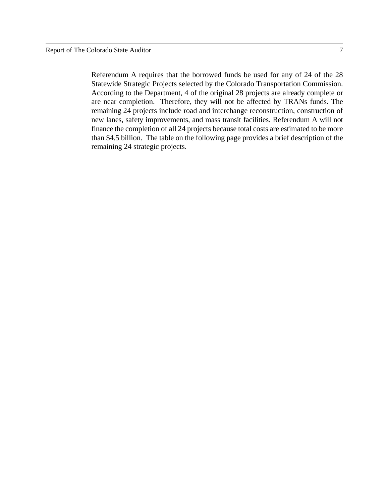remaining 24 strategic projects.

Referendum A requires that the borrowed funds be used for any of 24 of the 28 Statewide Strategic Projects selected by the Colorado Transportation Commission. According to the Department, 4 of the original 28 projects are already complete or are near completion. Therefore, they will not be affected by TRANs funds. The remaining 24 projects include road and interchange reconstruction, construction of new lanes, safety improvements, and mass transit facilities. Referendum A will not finance the completion of all 24 projects because total costs are estimated to be more than \$4.5 billion. The table on the following page provides a brief description of the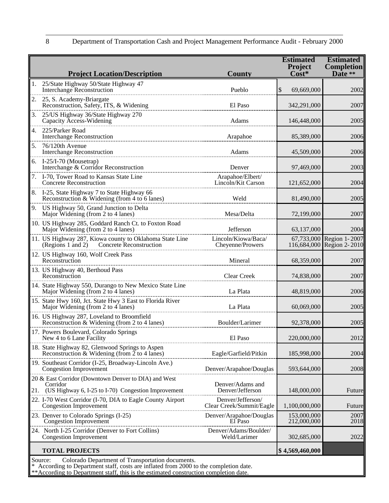|  |  | Department of Transportation Cash and Project Management Performance Audit - February 2000 |  |  |
|--|--|--------------------------------------------------------------------------------------------|--|--|
|  |  |                                                                                            |  |  |

|    | <b>Project Location/Description</b>                                                                                                                | <b>County</b>                                 | <b>Estimated</b><br>Project<br>$\tilde{\text{Cost}}^*$ | <b>Estimated</b><br><b>Completion</b><br>Date $**$    |  |  |  |  |
|----|----------------------------------------------------------------------------------------------------------------------------------------------------|-----------------------------------------------|--------------------------------------------------------|-------------------------------------------------------|--|--|--|--|
| 1. | 25/State Highway 50/State Highway 47<br>Interchange Reconstruction                                                                                 | Pueblo                                        | \$<br>69,669,000                                       | 2002                                                  |  |  |  |  |
| 2. | 25, S. Academy-Briargate<br>Reconstruction, Safety, ITS, & Widening                                                                                | El Paso                                       | 342,291,000                                            | 2007                                                  |  |  |  |  |
| 3. | 25/US Highway 36/State Highway 270<br>Capacity Access-Widening                                                                                     | Adams                                         | 146,448,000                                            | 2005                                                  |  |  |  |  |
| 4. | 225/Parker Road<br><b>Interchange Reconstruction</b>                                                                                               | Arapahoe                                      | 85,389,000                                             | 2006                                                  |  |  |  |  |
|    | 5. 76/120th Avenue<br><b>Interchange Reconstruction</b>                                                                                            | Adams                                         | 45,509,000                                             | 2006                                                  |  |  |  |  |
|    | 6. I-25/I-70 (Mousetrap)<br>Interchange & Corridor Reconstruction                                                                                  | Denver                                        | 97,469,000                                             | 2003                                                  |  |  |  |  |
|    | 7. I-70, Tower Road to Kansas State Line<br><b>Concrete Reconstruction</b>                                                                         | Arapahoe/Elbert/<br>Lincoln/Kit Carson        | 121,652,000                                            | 2004                                                  |  |  |  |  |
|    | 8. I-25, State Highway 7 to State Highway 66<br>Reconstruction & Widening (from 4 to 6 lanes)                                                      | Weld                                          | 81,490,000                                             | 2005                                                  |  |  |  |  |
|    | 9. US Highway 50, Grand Junction to Delta<br>Major Widening (from 2 to 4 lanes)                                                                    | Mesa/Delta                                    | 72,199,000                                             | 2007                                                  |  |  |  |  |
|    | 10. US Highway 285, Goddard Ranch Ct. to Foxton Road<br>Major Widening (from 2 to 4 lanes)                                                         | Jefferson                                     | 63,137,000                                             | 2004                                                  |  |  |  |  |
|    | 11. US Highway 287, Kiowa county to Oklahoma State Line<br>Concrete Reconstruction<br>(Regions 1 and 2)                                            | Lincoln/Kiowa/Baca/<br>Cheyenne/Prowers       |                                                        | 67,733,000 Region 1-2007<br>116,684,000 Region 2-2010 |  |  |  |  |
|    | 12. US Highway 160, Wolf Creek Pass<br>Reconstruction                                                                                              | Mineral                                       | 68,359,000                                             | 2007                                                  |  |  |  |  |
|    | 13. US Highway 40, Berthoud Pass<br>Reconstruction                                                                                                 | Clear Creek                                   | 74,838,000                                             | 2007                                                  |  |  |  |  |
|    | 14. State Highway 550, Durango to New Mexico State Line<br>Major Widening (from 2 to 4 lanes)                                                      | La Plata                                      | 48,819,000                                             | 2006                                                  |  |  |  |  |
|    | 15. State Hwy 160, Jct. State Hwy 3 East to Florida River<br>Major Widening (from 2 to 4 lanes)                                                    | La Plata                                      | 60,069,000                                             | 2005                                                  |  |  |  |  |
|    | 16. US Highway 287, Loveland to Broomfield<br>Reconstruction & Widening (from 2 to 4 lanes)                                                        | Boulder/Larimer                               | 92,378,000                                             | 2005                                                  |  |  |  |  |
|    | 17. Powers Boulevard, Colorado Springs<br>New 4 to 6 Lane Facility                                                                                 | El Paso                                       | 220,000,000                                            | 2012                                                  |  |  |  |  |
|    | 18. State Highway 82, Glenwood Springs to Aspen<br>Reconstruction & Widening (from $\overline{2}$ to 4 lanes)                                      | Eagle/Garfield/Pitkin                         | 185,998,000                                            | 2004                                                  |  |  |  |  |
|    | 19. Southeast Corridor (I-25, Broadway-Lincoln Ave.)<br><b>Congestion Improvement</b>                                                              | Denver/Arapahoe/Douglas                       | 593,644,000                                            | 2008                                                  |  |  |  |  |
|    | 20 & East Corridor (Downtown Denver to DIA) and West<br>Corridor<br>21. (US Highway 6, I-25 to I-70) Congestion Improvement                        | Denver/Adams and<br>Denver/Jefferson          | 148,000,000                                            | Future                                                |  |  |  |  |
|    | 22. I-70 West Corridor (I-70, DIA to Eagle County Airport<br><b>Congestion Improvement</b>                                                         | Denver/Jefferson/<br>Clear Creek/Summit/Eagle | 1,100,000,000                                          | Future                                                |  |  |  |  |
|    | 23. Denver to Colorado Springs (I-25)<br>Congestion Improvement                                                                                    | Denver/Arapahoe/Douglas<br>El Paso            | 153,000,000<br>212,000,000                             | 2007<br>2018                                          |  |  |  |  |
|    | 24. North I-25 Corridor (Denver to Fort Collins)<br><b>Congestion Improvement</b>                                                                  | Denver/Adams/Boulder/<br>Weld/Larimer         | 302,685,000                                            | 2022                                                  |  |  |  |  |
|    | <b>TOTAL PROJECTS</b>                                                                                                                              |                                               | \$4,569,460,000                                        |                                                       |  |  |  |  |
|    | Source:<br>Colorado Department of Transportation documents.<br>According to Department staff, costs are inflated from 2000 to the completion date. |                                               |                                                        |                                                       |  |  |  |  |

\*\*According to Department staff, this is the estimated construction completion date.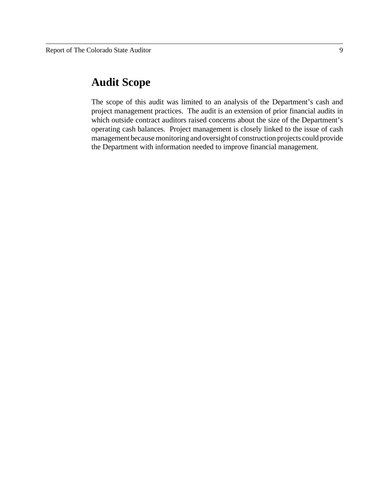## **Audit Scope**

The scope of this audit was limited to an analysis of the Department's cash and project management practices. The audit is an extension of prior financial audits in which outside contract auditors raised concerns about the size of the Department's operating cash balances. Project management is closely linked to the issue of cash management because monitoring and oversight of construction projects could provide the Department with information needed to improve financial management.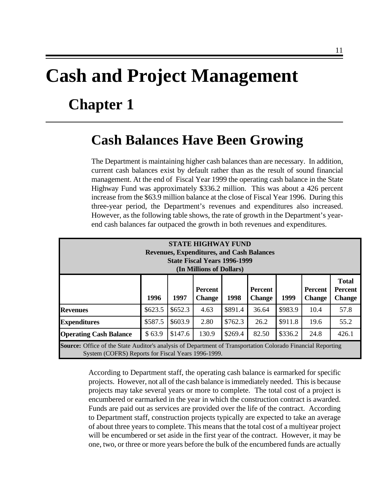# **Cash and Project Management Chapter 1**

# **Cash Balances Have Been Growing**

The Department is maintaining higher cash balances than are necessary. In addition, current cash balances exist by default rather than as the result of sound financial management. At the end of Fiscal Year 1999 the operating cash balance in the State Highway Fund was approximately \$336.2 million. This was about a 426 percent increase from the \$63.9 million balance at the close of Fiscal Year 1996. During this three-year period, the Department's revenues and expenditures also increased. However, as the following table shows, the rate of growth in the Department's yearend cash balances far outpaced the growth in both revenues and expenditures.

| <b>STATE HIGHWAY FUND</b><br><b>Revenues, Expenditures, and Cash Balances</b><br><b>State Fiscal Years 1996-1999</b><br>(In Millions of Dollars)                         |         |         |                                 |         |                                 |         |                          |                                                 |  |
|--------------------------------------------------------------------------------------------------------------------------------------------------------------------------|---------|---------|---------------------------------|---------|---------------------------------|---------|--------------------------|-------------------------------------------------|--|
|                                                                                                                                                                          | 1996    | 1997    | <b>Percent</b><br><b>Change</b> | 1998    | <b>Percent</b><br><b>Change</b> | 1999    | Percent<br><b>Change</b> | <b>Total</b><br><b>Percent</b><br><b>Change</b> |  |
| <b>Revenues</b>                                                                                                                                                          | \$623.5 | \$652.3 | 4.63                            | \$891.4 | 36.64                           | \$983.9 | 10.4                     | 57.8                                            |  |
| <b>Expenditures</b>                                                                                                                                                      | \$587.5 | \$603.9 | 2.80                            | \$762.3 | 26.2                            | \$911.8 | 19.6                     | 55.2                                            |  |
| <b>Operating Cash Balance</b>                                                                                                                                            | \$63.9  | \$147.6 | 130.9                           | \$269.4 | 82.50                           | \$336.2 | 24.8                     | 426.1                                           |  |
| <b>Source:</b> Office of the State Auditor's analysis of Department of Transportation Colorado Financial Reporting<br>System (COFRS) Reports for Fiscal Years 1996-1999. |         |         |                                 |         |                                 |         |                          |                                                 |  |

According to Department staff, the operating cash balance is earmarked for specific projects. However, not all of the cash balance is immediately needed. This is because projects may take several years or more to complete. The total cost of a project is encumbered or earmarked in the year in which the construction contract is awarded. Funds are paid out as services are provided over the life of the contract. According to Department staff, construction projects typically are expected to take an average of about three years to complete. This means that the total cost of a multiyear project will be encumbered or set aside in the first year of the contract. However, it may be one, two, or three or more years before the bulk of the encumbered funds are actually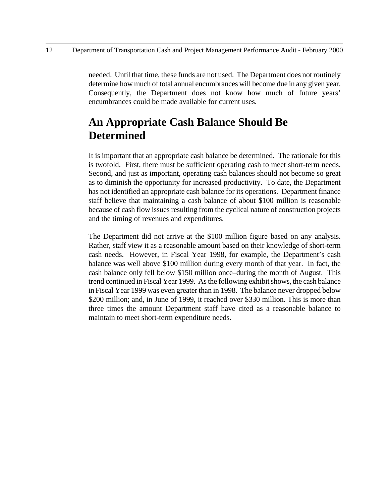needed. Until that time, these funds are not used. The Department does not routinely determine how much of total annual encumbrances will become due in any given year. Consequently, the Department does not know how much of future years' encumbrances could be made available for current uses.

## **An Appropriate Cash Balance Should Be Determined**

It is important that an appropriate cash balance be determined. The rationale for this is twofold. First, there must be sufficient operating cash to meet short-term needs. Second, and just as important, operating cash balances should not become so great as to diminish the opportunity for increased productivity. To date, the Department has not identified an appropriate cash balance for its operations. Department finance staff believe that maintaining a cash balance of about \$100 million is reasonable because of cash flow issues resulting from the cyclical nature of construction projects and the timing of revenues and expenditures.

The Department did not arrive at the \$100 million figure based on any analysis. Rather, staff view it as a reasonable amount based on their knowledge of short-term cash needs. However, in Fiscal Year 1998, for example, the Department's cash balance was well above \$100 million during every month of that year. In fact, the cash balance only fell below \$150 million once–during the month of August. This trend continued in Fiscal Year 1999. As the following exhibit shows, the cash balance in Fiscal Year 1999 was even greater than in 1998. The balance never dropped below \$200 million; and, in June of 1999, it reached over \$330 million. This is more than three times the amount Department staff have cited as a reasonable balance to maintain to meet short-term expenditure needs.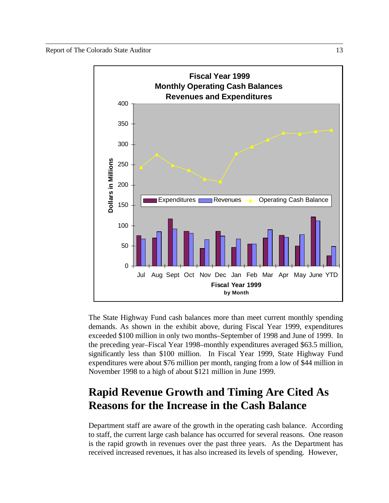

The State Highway Fund cash balances more than meet current monthly spending demands. As shown in the exhibit above, during Fiscal Year 1999, expenditures exceeded \$100 million in only two months–September of 1998 and June of 1999. In the preceding year–Fiscal Year 1998–monthly expenditures averaged \$63.5 million, significantly less than \$100 million. In Fiscal Year 1999, State Highway Fund expenditures were about \$76 million per month, ranging from a low of \$44 million in November 1998 to a high of about \$121 million in June 1999.

## **Rapid Revenue Growth and Timing Are Cited As Reasons for the Increase in the Cash Balance**

Department staff are aware of the growth in the operating cash balance. According to staff, the current large cash balance has occurred for several reasons. One reason is the rapid growth in revenues over the past three years. As the Department has received increased revenues, it has also increased its levels of spending. However,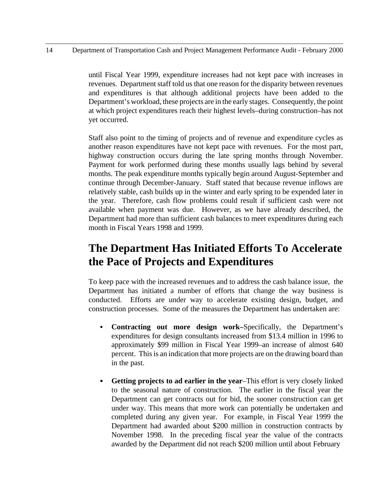14 Department of Transportation Cash and Project Management Performance Audit - February 2000

until Fiscal Year 1999, expenditure increases had not kept pace with increases in revenues. Department staff told us that one reason for the disparity between revenues and expenditures is that although additional projects have been added to the Department's workload, these projects are in the early stages. Consequently, the point at which project expenditures reach their highest levels–during construction–has not yet occurred.

Staff also point to the timing of projects and of revenue and expenditure cycles as another reason expenditures have not kept pace with revenues. For the most part, highway construction occurs during the late spring months through November. Payment for work performed during these months usually lags behind by several months. The peak expenditure months typically begin around August-September and continue through December-January. Staff stated that because revenue inflows are relatively stable, cash builds up in the winter and early spring to be expended later in the year. Therefore, cash flow problems could result if sufficient cash were not available when payment was due. However, as we have already described, the Department had more than sufficient cash balances to meet expenditures during each month in Fiscal Years 1998 and 1999.

## **The Department Has Initiated Efforts To Accelerate the Pace of Projects and Expenditures**

To keep pace with the increased revenues and to address the cash balance issue, the Department has initiated a number of efforts that change the way business is conducted. Efforts are under way to accelerate existing design, budget, and construction processes. Some of the measures the Department has undertaken are:

- **Contracting out more design work–Specifically, the Department's** expenditures for design consultants increased from \$13.4 million in 1996 to approximately \$99 million in Fiscal Year 1999–an increase of almost 640 percent. This is an indication that more projects are on the drawing board than in the past.
- C **Getting projects to ad earlier in the year**–This effort is very closely linked to the seasonal nature of construction. The earlier in the fiscal year the Department can get contracts out for bid, the sooner construction can get under way. This means that more work can potentially be undertaken and completed during any given year. For example, in Fiscal Year 1999 the Department had awarded about \$200 million in construction contracts by November 1998. In the preceding fiscal year the value of the contracts awarded by the Department did not reach \$200 million until about February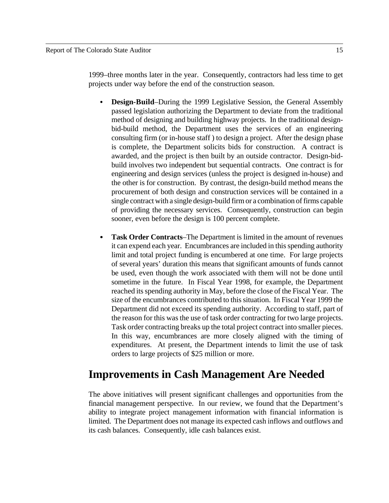1999–three months later in the year. Consequently, contractors had less time to get projects under way before the end of the construction season.

- **Design-Build–During the 1999 Legislative Session, the General Assembly** passed legislation authorizing the Department to deviate from the traditional method of designing and building highway projects. In the traditional designbid-build method, the Department uses the services of an engineering consulting firm (or in-house staff ) to design a project. After the design phase is complete, the Department solicits bids for construction. A contract is awarded, and the project is then built by an outside contractor. Design-bidbuild involves two independent but sequential contracts. One contract is for engineering and design services (unless the project is designed in-house) and the other is for construction. By contrast, the design-build method means the procurement of both design and construction services will be contained in a single contract with a single design-build firm or a combination of firms capable of providing the necessary services. Consequently, construction can begin sooner, even before the design is 100 percent complete.
- **Task Order Contracts–The Department is limited in the amount of revenues** it can expend each year. Encumbrances are included in this spending authority limit and total project funding is encumbered at one time. For large projects of several years' duration this means that significant amounts of funds cannot be used, even though the work associated with them will not be done until sometime in the future. In Fiscal Year 1998, for example, the Department reached its spending authority in May, before the close of the Fiscal Year. The size of the encumbrances contributed to this situation. In Fiscal Year 1999 the Department did not exceed its spending authority. According to staff, part of the reason for this was the use of task order contracting for two large projects. Task order contracting breaks up the total project contract into smaller pieces. In this way, encumbrances are more closely aligned with the timing of expenditures. At present, the Department intends to limit the use of task orders to large projects of \$25 million or more.

## **Improvements in Cash Management Are Needed**

The above initiatives will present significant challenges and opportunities from the financial management perspective. In our review, we found that the Department's ability to integrate project management information with financial information is limited. The Department does not manage its expected cash inflows and outflows and its cash balances. Consequently, idle cash balances exist.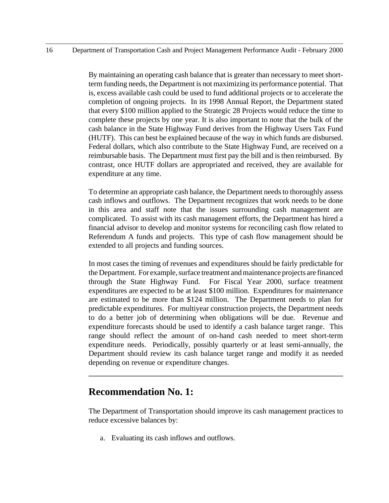By maintaining an operating cash balance that is greater than necessary to meet shortterm funding needs, the Department is not maximizing its performance potential. That is, excess available cash could be used to fund additional projects or to accelerate the completion of ongoing projects. In its 1998 Annual Report, the Department stated that every \$100 million applied to the Strategic 28 Projects would reduce the time to complete these projects by one year. It is also important to note that the bulk of the cash balance in the State Highway Fund derives from the Highway Users Tax Fund (HUTF). This can best be explained because of the way in which funds are disbursed. Federal dollars, which also contribute to the State Highway Fund, are received on a reimbursable basis. The Department must first pay the bill and is then reimbursed. By contrast, once HUTF dollars are appropriated and received, they are available for expenditure at any time.

To determine an appropriate cash balance, the Department needs to thoroughly assess cash inflows and outflows. The Department recognizes that work needs to be done in this area and staff note that the issues surrounding cash management are complicated. To assist with its cash management efforts, the Department has hired a financial advisor to develop and monitor systems for reconciling cash flow related to Referendum A funds and projects. This type of cash flow management should be extended to all projects and funding sources.

In most cases the timing of revenues and expenditures should be fairly predictable for the Department. For example, surface treatment and maintenance projects are financed through the State Highway Fund. For Fiscal Year 2000, surface treatment expenditures are expected to be at least \$100 million. Expenditures for maintenance are estimated to be more than \$124 million. The Department needs to plan for predictable expenditures. For multiyear construction projects, the Department needs to do a better job of determining when obligations will be due. Revenue and expenditure forecasts should be used to identify a cash balance target range. This range should reflect the amount of on-hand cash needed to meet short-term expenditure needs. Periodically, possibly quarterly or at least semi-annually, the Department should review its cash balance target range and modify it as needed depending on revenue or expenditure changes.

### **Recommendation No. 1:**

The Department of Transportation should improve its cash management practices to reduce excessive balances by:

a. Evaluating its cash inflows and outflows.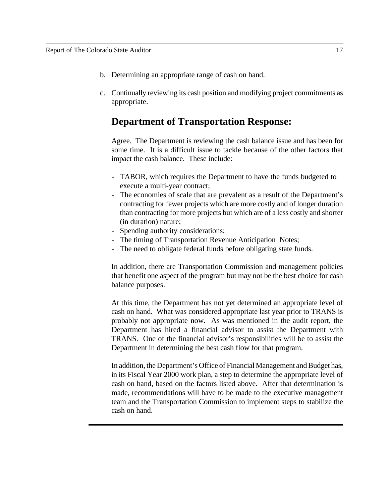- b. Determining an appropriate range of cash on hand.
- c. Continually reviewing its cash position and modifying project commitments as appropriate.

## **Department of Transportation Response:**

Agree. The Department is reviewing the cash balance issue and has been for some time. It is a difficult issue to tackle because of the other factors that impact the cash balance. These include:

- TABOR, which requires the Department to have the funds budgeted to execute a multi-year contract;
- The economies of scale that are prevalent as a result of the Department's contracting for fewer projects which are more costly and of longer duration than contracting for more projects but which are of a less costly and shorter (in duration) nature;
- Spending authority considerations;
- The timing of Transportation Revenue Anticipation Notes;
- The need to obligate federal funds before obligating state funds.

In addition, there are Transportation Commission and management policies that benefit one aspect of the program but may not be the best choice for cash balance purposes.

At this time, the Department has not yet determined an appropriate level of cash on hand. What was considered appropriate last year prior to TRANS is probably not appropriate now. As was mentioned in the audit report, the Department has hired a financial advisor to assist the Department with TRANS. One of the financial advisor's responsibilities will be to assist the Department in determining the best cash flow for that program.

In addition, the Department's Office of Financial Management and Budget has, in its Fiscal Year 2000 work plan, a step to determine the appropriate level of cash on hand, based on the factors listed above. After that determination is made, recommendations will have to be made to the executive management team and the Transportation Commission to implement steps to stabilize the cash on hand.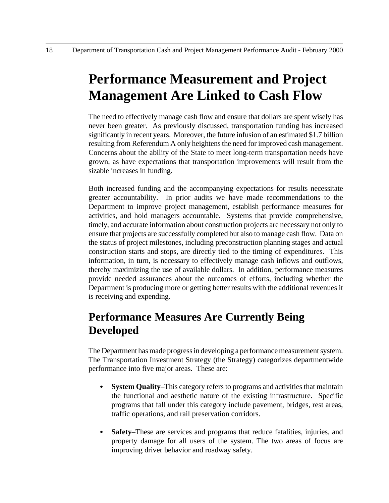# **Performance Measurement and Project Management Are Linked to Cash Flow**

The need to effectively manage cash flow and ensure that dollars are spent wisely has never been greater. As previously discussed, transportation funding has increased significantly in recent years. Moreover, the future infusion of an estimated \$1.7 billion resulting from Referendum A only heightens the need for improved cash management. Concerns about the ability of the State to meet long-term transportation needs have grown, as have expectations that transportation improvements will result from the sizable increases in funding.

Both increased funding and the accompanying expectations for results necessitate greater accountability. In prior audits we have made recommendations to the Department to improve project management, establish performance measures for activities, and hold managers accountable. Systems that provide comprehensive, timely, and accurate information about construction projects are necessary not only to ensure that projects are successfully completed but also to manage cash flow. Data on the status of project milestones, including preconstruction planning stages and actual construction starts and stops, are directly tied to the timing of expenditures. This information, in turn, is necessary to effectively manage cash inflows and outflows, thereby maximizing the use of available dollars. In addition, performance measures provide needed assurances about the outcomes of efforts, including whether the Department is producing more or getting better results with the additional revenues it is receiving and expending.

## **Performance Measures Are Currently Being Developed**

The Department has made progress in developing a performance measurement system. The Transportation Investment Strategy (the Strategy) categorizes departmentwide performance into five major areas. These are:

- **System Quality–This category refers to programs and activities that maintain** the functional and aesthetic nature of the existing infrastructure. Specific programs that fall under this category include pavement, bridges, rest areas, traffic operations, and rail preservation corridors.
- **Safety**–These are services and programs that reduce fatalities, injuries, and property damage for all users of the system. The two areas of focus are improving driver behavior and roadway safety.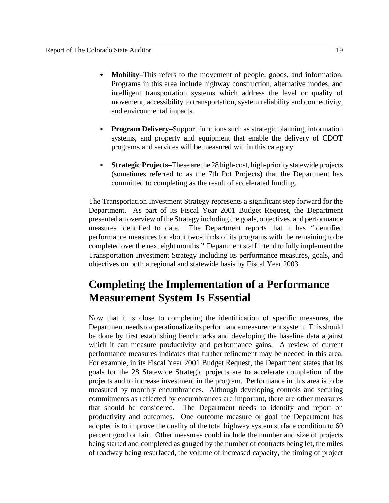- Mobility–This refers to the movement of people, goods, and information. Programs in this area include highway construction, alternative modes, and intelligent transportation systems which address the level or quality of movement, accessibility to transportation, system reliability and connectivity, and environmental impacts.
- **Program Delivery–**Support functions such as strategic planning, information systems, and property and equipment that enable the delivery of CDOT programs and services will be measured within this category.
- C **Strategic Projects–**These are the 28 high-cost, high-priority statewide projects (sometimes referred to as the 7th Pot Projects) that the Department has committed to completing as the result of accelerated funding.

The Transportation Investment Strategy represents a significant step forward for the Department. As part of its Fiscal Year 2001 Budget Request, the Department presented an overview of the Strategy including the goals, objectives, and performance measures identified to date. The Department reports that it has "identified performance measures for about two-thirds of its programs with the remaining to be completed over the next eight months." Department staff intend to fully implement the Transportation Investment Strategy including its performance measures, goals, and objectives on both a regional and statewide basis by Fiscal Year 2003.

## **Completing the Implementation of a Performance Measurement System Is Essential**

Now that it is close to completing the identification of specific measures, the Department needs to operationalize its performance measurement system. This should be done by first establishing benchmarks and developing the baseline data against which it can measure productivity and performance gains. A review of current performance measures indicates that further refinement may be needed in this area. For example, in its Fiscal Year 2001 Budget Request, the Department states that its goals for the 28 Statewide Strategic projects are to accelerate completion of the projects and to increase investment in the program. Performance in this area is to be measured by monthly encumbrances. Although developing controls and securing commitments as reflected by encumbrances are important, there are other measures that should be considered. The Department needs to identify and report on productivity and outcomes. One outcome measure or goal the Department has adopted is to improve the quality of the total highway system surface condition to 60 percent good or fair. Other measures could include the number and size of projects being started and completed as gauged by the number of contracts being let, the miles of roadway being resurfaced, the volume of increased capacity, the timing of project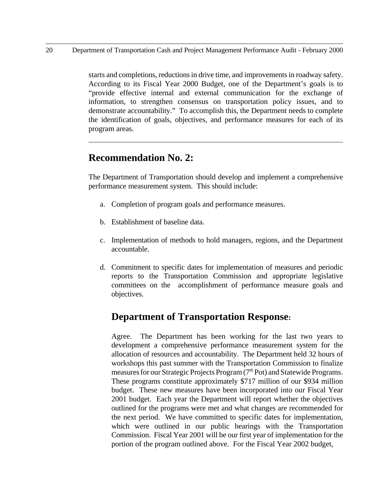starts and completions, reductions in drive time, and improvements in roadway safety. According to its Fiscal Year 2000 Budget, one of the Department's goals is to "provide effective internal and external communication for the exchange of information, to strengthen consensus on transportation policy issues, and to demonstrate accountability." To accomplish this, the Department needs to complete the identification of goals, objectives, and performance measures for each of its program areas.

## **Recommendation No. 2:**

The Department of Transportation should develop and implement a comprehensive performance measurement system. This should include:

- a. Completion of program goals and performance measures.
- b. Establishment of baseline data.
- c. Implementation of methods to hold managers, regions, and the Department accountable.
- d. Commitment to specific dates for implementation of measures and periodic reports to the Transportation Commission and appropriate legislative committees on the accomplishment of performance measure goals and objectives.

## **Department of Transportation Response:**

Agree. The Department has been working for the last two years to development a comprehensive performance measurement system for the allocation of resources and accountability. The Department held 32 hours of workshops this past summer with the Transportation Commission to finalize measures for our Strategic Projects Program  $(7<sup>th</sup> Pot)$  and Statewide Programs. These programs constitute approximately \$717 million of our \$934 million budget. These new measures have been incorporated into our Fiscal Year 2001 budget. Each year the Department will report whether the objectives outlined for the programs were met and what changes are recommended for the next period. We have committed to specific dates for implementation, which were outlined in our public hearings with the Transportation Commission. Fiscal Year 2001 will be our first year of implementation for the portion of the program outlined above. For the Fiscal Year 2002 budget,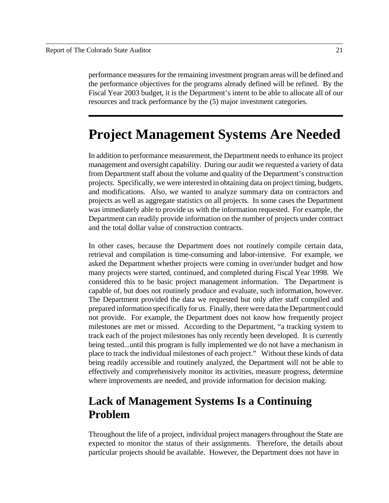performance measures for the remaining investment program areas will be defined and the performance objectives for the programs already defined will be refined. By the Fiscal Year 2003 budget, it is the Department's intent to be able to allocate all of our resources and track performance by the (5) major investment categories.

## **Project Management Systems Are Needed**

In addition to performance measurement, the Department needs to enhance its project management and oversight capability. During our audit we requested a variety of data from Department staff about the volume and quality of the Department's construction projects. Specifically, we were interested in obtaining data on project timing, budgets, and modifications. Also, we wanted to analyze summary data on contractors and projects as well as aggregate statistics on all projects. In some cases the Department was immediately able to provide us with the information requested. For example, the Department can readily provide information on the number of projects under contract and the total dollar value of construction contracts.

In other cases, because the Department does not routinely compile certain data, retrieval and compilation is time-consuming and labor-intensive. For example, we asked the Department whether projects were coming in over/under budget and how many projects were started, continued, and completed during Fiscal Year 1998. We considered this to be basic project management information. The Department is capable of, but does not routinely produce and evaluate, such information, however. The Department provided the data we requested but only after staff compiled and prepared information specifically for us. Finally, there were data the Department could not provide. For example, the Department does not know how frequently project milestones are met or missed. According to the Department, "a tracking system to track each of the project milestones has only recently been developed. It is currently being tested...until this program is fully implemented we do not have a mechanism in place to track the individual milestones of each project." Without these kinds of data being readily accessible and routinely analyzed, the Department will not be able to effectively and comprehensively monitor its activities, measure progress, determine where improvements are needed, and provide information for decision making.

## **Lack of Management Systems Is a Continuing Problem**

Throughout the life of a project, individual project managers throughout the State are expected to monitor the status of their assignments. Therefore, the details about particular projects should be available. However, the Department does not have in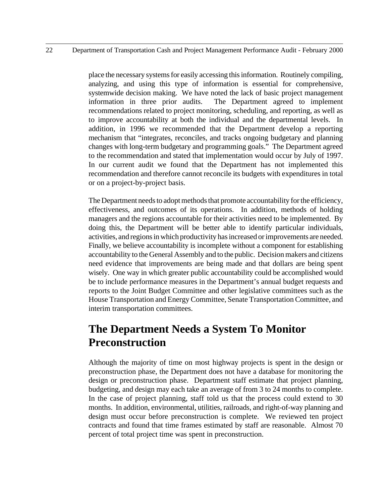#### 22 Department of Transportation Cash and Project Management Performance Audit - February 2000

place the necessary systems for easily accessing this information. Routinely compiling, analyzing, and using this type of information is essential for comprehensive, systemwide decision making. We have noted the lack of basic project management information in three prior audits. The Department agreed to implement recommendations related to project monitoring, scheduling, and reporting, as well as to improve accountability at both the individual and the departmental levels. In addition, in 1996 we recommended that the Department develop a reporting mechanism that "integrates, reconciles, and tracks ongoing budgetary and planning changes with long-term budgetary and programming goals." The Department agreed to the recommendation and stated that implementation would occur by July of 1997. In our current audit we found that the Department has not implemented this recommendation and therefore cannot reconcile its budgets with expenditures in total or on a project-by-project basis.

The Department needs to adopt methods that promote accountability for the efficiency, effectiveness, and outcomes of its operations. In addition, methods of holding managers and the regions accountable for their activities need to be implemented. By doing this, the Department will be better able to identify particular individuals, activities, and regions in which productivity has increased or improvements are needed. Finally, we believe accountability is incomplete without a component for establishing accountability to the General Assembly and to the public. Decision makers and citizens need evidence that improvements are being made and that dollars are being spent wisely. One way in which greater public accountability could be accomplished would be to include performance measures in the Department's annual budget requests and reports to the Joint Budget Committee and other legislative committees such as the House Transportation and Energy Committee, Senate Transportation Committee, and interim transportation committees.

## **The Department Needs a System To Monitor Preconstruction**

Although the majority of time on most highway projects is spent in the design or preconstruction phase, the Department does not have a database for monitoring the design or preconstruction phase. Department staff estimate that project planning, budgeting, and design may each take an average of from 3 to 24 months to complete. In the case of project planning, staff told us that the process could extend to 30 months. In addition, environmental, utilities, railroads, and right-of-way planning and design must occur before preconstruction is complete. We reviewed ten project contracts and found that time frames estimated by staff are reasonable. Almost 70 percent of total project time was spent in preconstruction.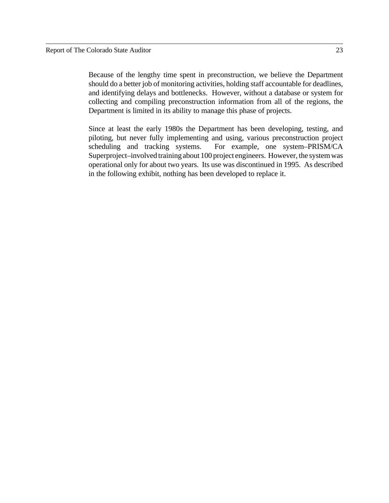Because of the lengthy time spent in preconstruction, we believe the Department should do a better job of monitoring activities, holding staff accountable for deadlines, and identifying delays and bottlenecks. However, without a database or system for collecting and compiling preconstruction information from all of the regions, the Department is limited in its ability to manage this phase of projects.

Since at least the early 1980s the Department has been developing, testing, and piloting, but never fully implementing and using, various preconstruction project scheduling and tracking systems. For example, one system–PRISM/CA Superproject–involved training about 100 project engineers. However, the system was operational only for about two years. Its use was discontinued in 1995. As described in the following exhibit, nothing has been developed to replace it.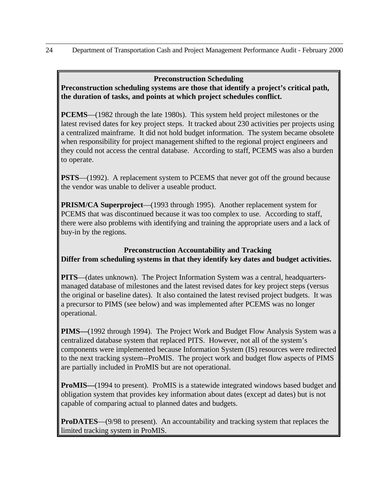#### **Preconstruction Scheduling**

**Preconstruction scheduling systems are those that identify a project's critical path, the duration of tasks, and points at which project schedules conflict.**

**PCEMS**—(1982 through the late 1980s). This system held project milestones or the latest revised dates for key project steps. It tracked about 230 activities per projects using a centralized mainframe. It did not hold budget information. The system became obsolete when responsibility for project management shifted to the regional project engineers and they could not access the central database. According to staff, PCEMS was also a burden to operate.

**PSTS**—(1992). A replacement system to PCEMS that never got off the ground because the vendor was unable to deliver a useable product.

**PRISM/CA Superproject**—(1993 through 1995). Another replacement system for PCEMS that was discontinued because it was too complex to use. According to staff, there were also problems with identifying and training the appropriate users and a lack of buy-in by the regions.

#### **Preconstruction Accountability and Tracking Differ from scheduling systems in that they identify key dates and budget activities.**

**PITS**—(dates unknown). The Project Information System was a central, headquartersmanaged database of milestones and the latest revised dates for key project steps (versus the original or baseline dates). It also contained the latest revised project budgets. It was a precursor to PIMS (see below) and was implemented after PCEMS was no longer operational.

**PIMS—**(1992 through 1994). The Project Work and Budget Flow Analysis System was a centralized database system that replaced PITS. However, not all of the system's components were implemented because Information System (IS) resources were redirected to the next tracking system--ProMIS. The project work and budget flow aspects of PIMS are partially included in ProMIS but are not operational.

**ProMIS**—(1994 to present). ProMIS is a statewide integrated windows based budget and obligation system that provides key information about dates (except ad dates) but is not capable of comparing actual to planned dates and budgets.

**ProDATES**—(9/98 to present). An accountability and tracking system that replaces the limited tracking system in ProMIS.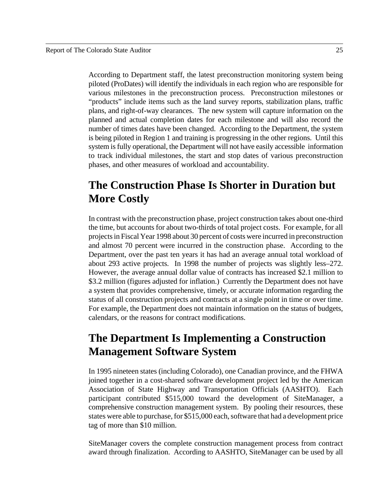According to Department staff, the latest preconstruction monitoring system being piloted (ProDates) will identify the individuals in each region who are responsible for various milestones in the preconstruction process. Preconstruction milestones or "products" include items such as the land survey reports, stabilization plans, traffic plans, and right-of-way clearances. The new system will capture information on the planned and actual completion dates for each milestone and will also record the number of times dates have been changed. According to the Department, the system is being piloted in Region 1 and training is progressing in the other regions. Until this system is fully operational, the Department will not have easily accessible information to track individual milestones, the start and stop dates of various preconstruction phases, and other measures of workload and accountability.

## **The Construction Phase Is Shorter in Duration but More Costly**

In contrast with the preconstruction phase, project construction takes about one-third the time, but accounts for about two-thirds of total project costs. For example, for all projects in Fiscal Year 1998 about 30 percent of costs were incurred in preconstruction and almost 70 percent were incurred in the construction phase. According to the Department, over the past ten years it has had an average annual total workload of about 293 active projects. In 1998 the number of projects was slightly less–272. However, the average annual dollar value of contracts has increased \$2.1 million to \$3.2 million (figures adjusted for inflation.) Currently the Department does not have a system that provides comprehensive, timely, or accurate information regarding the status of all construction projects and contracts at a single point in time or over time. For example, the Department does not maintain information on the status of budgets, calendars, or the reasons for contract modifications.

## **The Department Is Implementing a Construction Management Software System**

In 1995 nineteen states (including Colorado), one Canadian province, and the FHWA joined together in a cost-shared software development project led by the American Association of State Highway and Transportation Officials (AASHTO). Each participant contributed \$515,000 toward the development of SiteManager, a comprehensive construction management system. By pooling their resources, these states were able to purchase, for \$515,000 each, software that had a development price tag of more than \$10 million.

SiteManager covers the complete construction management process from contract award through finalization. According to AASHTO, SiteManager can be used by all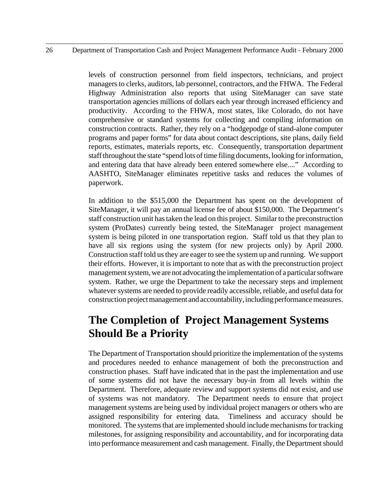#### 26 Department of Transportation Cash and Project Management Performance Audit - February 2000

levels of construction personnel from field inspectors, technicians, and project managers to clerks, auditors, lab personnel, contractors, and the FHWA. The Federal Highway Administration also reports that using SiteManager can save state transportation agencies millions of dollars each year through increased efficiency and productivity. According to the FHWA, most states, like Colorado, do not have comprehensive or standard systems for collecting and compiling information on construction contracts. Rather, they rely on a "hodgepodge of stand-alone computer programs and paper forms" for data about contact descriptions, site plans, daily field reports, estimates, materials reports, etc. Consequently, transportation department staff throughout the state "spend lots of time filing documents, looking for information, and entering data that have already been entered somewhere else...." According to AASHTO, SiteManager eliminates repetitive tasks and reduces the volumes of paperwork.

In addition to the \$515,000 the Department has spent on the development of SiteManager, it will pay an annual license fee of about \$150,000. The Department's staff construction unit has taken the lead on this project. Similar to the preconstruction system (ProDates) currently being tested, the SiteManager project management system is being piloted in one transportation region. Staff told us that they plan to have all six regions using the system (for new projects only) by April 2000. Construction staff told us they are eager to see the system up and running. We support their efforts. However, it is important to note that as with the preconstruction project management system, we are not advocating the implementation of a particular software system. Rather, we urge the Department to take the necessary steps and implement whatever systems are needed to provide readily accessible, reliable, and useful data for construction project management and accountability, including performance measures.

## **The Completion of Project Management Systems Should Be a Priority**

The Department of Transportation should prioritize the implementation of the systems and procedures needed to enhance management of both the preconstruction and construction phases. Staff have indicated that in the past the implementation and use of some systems did not have the necessary buy-in from all levels within the Department. Therefore, adequate review and support systems did not exist, and use of systems was not mandatory. The Department needs to ensure that project management systems are being used by individual project managers or others who are assigned responsibility for entering data. Timeliness and accuracy should be monitored. The systems that are implemented should include mechanisms for tracking milestones, for assigning responsibility and accountability, and for incorporating data into performance measurement and cash management. Finally, the Department should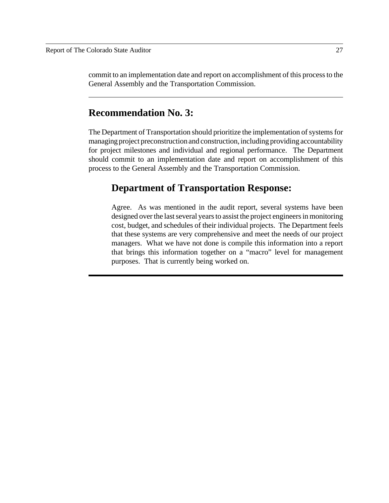commit to an implementation date and report on accomplishment of this process to the General Assembly and the Transportation Commission.

### **Recommendation No. 3:**

The Department of Transportation should prioritize the implementation of systems for managing project preconstruction and construction, including providing accountability for project milestones and individual and regional performance. The Department should commit to an implementation date and report on accomplishment of this process to the General Assembly and the Transportation Commission.

#### **Department of Transportation Response:**

Agree. As was mentioned in the audit report, several systems have been designed over the last several years to assist the project engineers in monitoring cost, budget, and schedules of their individual projects. The Department feels that these systems are very comprehensive and meet the needs of our project managers. What we have not done is compile this information into a report that brings this information together on a "macro" level for management purposes. That is currently being worked on.